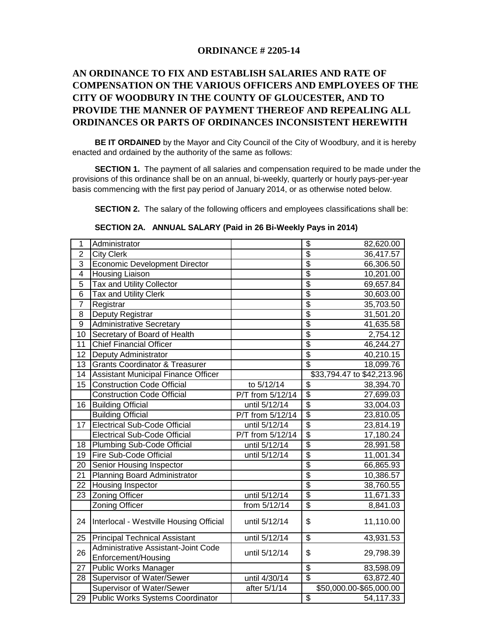### **ORDINANCE # 2205-14**

# **AN ORDINANCE TO FIX AND ESTABLISH SALARIES AND RATE OF COMPENSATION ON THE VARIOUS OFFICERS AND EMPLOYEES OF THE CITY OF WOODBURY IN THE COUNTY OF GLOUCESTER, AND TO PROVIDE THE MANNER OF PAYMENT THEREOF AND REPEALING ALL ORDINANCES OR PARTS OF ORDINANCES INCONSISTENT HEREWITH**

 **BE IT ORDAINED** by the Mayor and City Council of the City of Woodbury, and it is hereby enacted and ordained by the authority of the same as follows:

 **SECTION 1.** The payment of all salaries and compensation required to be made under the provisions of this ordinance shall be on an annual, bi-weekly, quarterly or hourly pays-per-year basis commencing with the first pay period of January 2014, or as otherwise noted below.

**SECTION 2.** The salary of the following officers and employees classifications shall be:

 **SECTION 2A. ANNUAL SALARY (Paid in 26 Bi-Weekly Pays in 2014)** 

| 1                | Administrator                                |                  | \$                                   | 82,620.00                  |  |  |
|------------------|----------------------------------------------|------------------|--------------------------------------|----------------------------|--|--|
| $\overline{2}$   | <b>City Clerk</b>                            |                  | \$                                   | 36,417.57                  |  |  |
| $\overline{3}$   | Economic Development Director                |                  | $\overline{\$}$                      | 66,306.50                  |  |  |
| 4                | <b>Housing Liaison</b>                       |                  | \$                                   | 10,201.00                  |  |  |
| $\overline{5}$   | <b>Tax and Utility Collector</b>             |                  | $\overline{\$}$                      | 69,657.84                  |  |  |
| $\overline{6}$   | Tax and Utility Clerk                        |                  | $\overline{\$}$                      | 30,603.00                  |  |  |
| 7                | Registrar                                    |                  | $\overline{\$}$                      | 35,703.50                  |  |  |
| 8                | Deputy Registrar                             |                  | $\overline{\$}$                      | 31,501.20                  |  |  |
| $\boldsymbol{9}$ | <b>Administrative Secretary</b>              |                  | $\overline{\$}$                      | 41,635.58                  |  |  |
| 10               | Secretary of Board of Health                 |                  | $\overline{\$}$                      | 2,754.12                   |  |  |
| 11               | <b>Chief Financial Officer</b>               |                  | \$                                   | 46,244.27                  |  |  |
| 12               | Deputy Administrator                         |                  | $\overline{\$}$                      | 40,210.15                  |  |  |
| 13               | <b>Grants Coordinator &amp; Treasurer</b>    |                  | $\overline{\$}$                      | 18,099.76                  |  |  |
| 14               | Assistant Municipal Finance Officer          |                  |                                      | \$33,794.47 to \$42,213.96 |  |  |
| 15               | <b>Construction Code Official</b>            | to 5/12/14       | $\overline{\boldsymbol{\theta}}$     | 38,394.70                  |  |  |
|                  | <b>Construction Code Official</b>            | P/T from 5/12/14 | $\overline{\$}$                      | 27,699.03                  |  |  |
| 16               | <b>Building Official</b>                     | until 5/12/14    | $\overline{\mathcal{S}}$             | 33,004.03                  |  |  |
|                  | <b>Building Official</b>                     | P/T from 5/12/14 | $\overline{\$}$                      | 23,810.05                  |  |  |
| 17               | <b>Electrical Sub-Code Official</b>          | until 5/12/14    | $\overline{\$}$                      | 23,814.19                  |  |  |
|                  | <b>Electrical Sub-Code Official</b>          | P/T from 5/12/14 | $\overline{\$}$                      | 17,180.24                  |  |  |
| 18               | Plumbing Sub-Code Official                   | until 5/12/14    | $\overline{\$}$                      | 28,991.58                  |  |  |
| 19               | <b>Fire Sub-Code Official</b>                | until 5/12/14    | $\overline{\$}$                      | $11,001.\overline{34}$     |  |  |
| $\overline{20}$  | Senior Housing Inspector                     |                  | $\overline{\$}$                      | 66,865.93                  |  |  |
| $\overline{21}$  | Planning Board Administrator                 |                  | $\overline{\$}$                      | 10,386.57                  |  |  |
| 22               | <b>Housing Inspector</b>                     |                  | $\overline{\$}$                      | 38,760.55                  |  |  |
| 23               | <b>Zoning Officer</b>                        | until 5/12/14    | $\overline{\$}$                      | 11,671.33                  |  |  |
|                  | <b>Zoning Officer</b>                        | from 5/12/14     | $\overline{\$}$                      | $\overline{8,841.03}$      |  |  |
|                  | 24   Interlocal - Westville Housing Official | until 5/12/14    | \$                                   | 11,110.00                  |  |  |
| 25               | <b>Principal Technical Assistant</b>         | until 5/12/14    | $\overline{\boldsymbol{\mathsf{s}}}$ | 43,931.53                  |  |  |
|                  | Administrative Assistant-Joint Code          |                  |                                      |                            |  |  |
| 26               | Enforcement/Housing                          | until 5/12/14    | \$                                   | 29,798.39                  |  |  |
| 27               | Public Works Manager                         |                  | \$                                   | 83,598.09                  |  |  |
| 28               | Supervisor of Water/Sewer                    | until 4/30/14    | $\overline{\mathcal{S}}$             | 63,872.40                  |  |  |
|                  | Supervisor of Water/Sewer                    | after 5/1/14     |                                      | \$50,000.00-\$65,000.00    |  |  |
| 29               | Public Works Systems Coordinator             |                  | \$                                   | 54,117.33                  |  |  |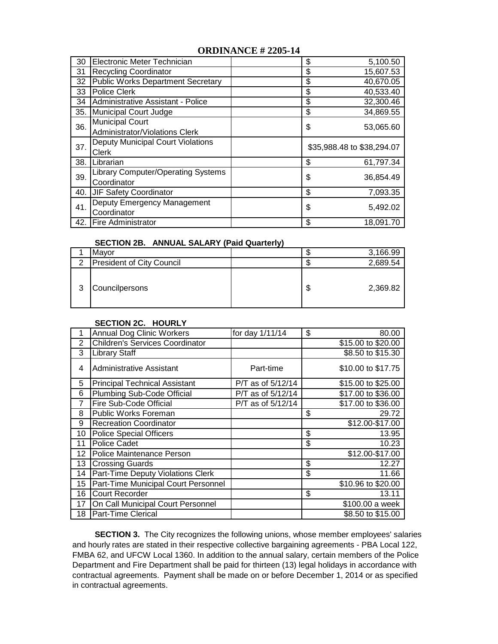#### **ORDINANCE # 2205-14**

| 30  | Electronic Meter Technician                              | \$<br>5,100.50             |  |  |
|-----|----------------------------------------------------------|----------------------------|--|--|
| 31  | <b>Recycling Coordinator</b>                             | 15,607.53<br>\$            |  |  |
| 32  | <b>Public Works Department Secretary</b>                 | \$<br>40,670.05            |  |  |
| 33  | <b>Police Clerk</b>                                      | \$<br>40,533.40            |  |  |
| 34  | Administrative Assistant - Police                        | \$<br>32,300.46            |  |  |
| 35. | Municipal Court Judge                                    | \$<br>34,869.55            |  |  |
| 36. | <b>Municipal Court</b><br>Administrator/Violations Clerk | \$<br>53,065.60            |  |  |
| 37. | <b>Deputy Municipal Court Violations</b><br>Clerk        | \$35,988.48 to \$38,294.07 |  |  |
| 38. | Librarian                                                | \$<br>61,797.34            |  |  |
| 39. | <b>Library Computer/Operating Systems</b><br>Coordinator | \$<br>36,854.49            |  |  |
| 40. | <b>JIF Safety Coordinator</b>                            | \$<br>7,093.35             |  |  |
| 41. | Deputy Emergency Management<br>Coordinator               | \$<br>5,492.02             |  |  |
|     | 42. Fire Administrator                                   | \$<br>18,091.70            |  |  |

#### **SECTION 2B. ANNUAL SALARY (Paid Quarterly)**

|   | Mayor                            |    | 3,166.99 |
|---|----------------------------------|----|----------|
| ⌒ | <b>President of City Council</b> |    | 2,689.54 |
| 3 | Councilpersons                   | ۰D | 2,369.82 |

## 1 Annual Dog Clinic Workers for day 1/11/14 | \$ 80.00 2 Children's Services Coordinator **1** 12.12 10.000 **\$15.00 to \$20.00** 3 Library Staff \$8.50 to \$15.30 4 Administrative Assistant Part-time 910.00 to \$17.75 5 Principal Technical Assistant P/T as of 5/12/14 | \$15.00 to \$25.00 6 Plumbing Sub-Code Official P/T as of 5/12/14 \$17.00 to \$36.00 7 Fire Sub-Code Official P/T as of 5/12/14 \$17.00 to \$36.00 8 Public Works Foreman \$ 29.72 9 Recreation Coordinator **19 Step 20 and Step 20 and Step 312.00-\$17.00** 10 Police Special Officers **13.95** 13.95 11 Police Cadet **10.23** 10.23 12 Police Maintenance Person **12 Police Maintenance Person** 612.00-\$17.00 13 Crossing Guards **12.27 12.27** 14 Part-Time Deputy Violations Clerk  $\sqrt{3}$  11.66 15 Part-Time Municipal Court Personnel \$10.96 to \$20.00 16 Court Recorder **16 13.11** 13.11 17 On Call Municipal Court Personnel **111 Contract 1000.00** a week 18 Part-Time Clerical **18 Part-Time Clerical** 38.50 to \$15.00  **SECTION 2C. HOURLY**

**SECTION 3.** The City recognizes the following unions, whose member employees' salaries and hourly rates are stated in their respective collective bargaining agreements - PBA Local 122, FMBA 62, and UFCW Local 1360. In addition to the annual salary, certain members of the Police Department and Fire Department shall be paid for thirteen (13) legal holidays in accordance with contractual agreements. Payment shall be made on or before December 1, 2014 or as specified in contractual agreements.